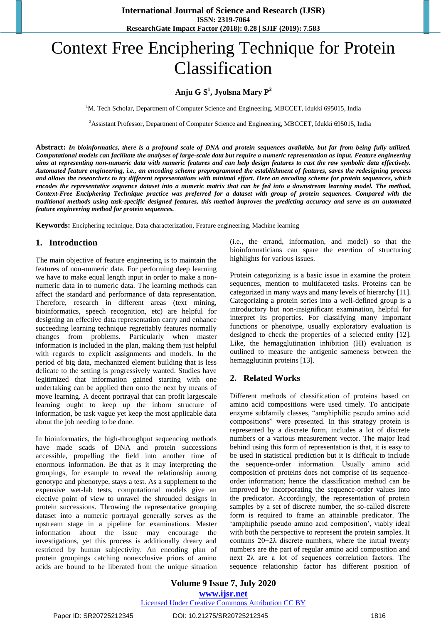# Context Free Enciphering Technique for Protein Classification

# **Anju G S<sup>1</sup> , Jyolsna Mary P<sup>2</sup>**

<sup>1</sup>M. Tech Scholar, Department of Computer Science and Engineering, MBCCET, Idukki 695015, India

<sup>2</sup>Assistant Professor, Department of Computer Science and Engineering, MBCCET, Idukki 695015, India

**Abstract:** *In bioinformatics, there is a profound scale of DNA and protein sequences available, but far from being fully utilized. Computational models can facilitate the analyses of large-scale data but require a numeric representation as input. Feature engineering aims at representing non-numeric data with numeric features and can help design features to cast the raw symbolic data effectively. Automated feature engineering, i.e., an encoding scheme preprogrammed the establishment of features, saves the redesigning process and allows the researchers to try different representations with minimal effort. Here an encoding scheme for protein sequences, which encodes the representative sequence dataset into a numeric matrix that can be fed into a downstream learning model. The method, Context-Free Enciphering Technique practice was preferred for a dataset with group of protein sequences. Compared with the traditional methods using task-specific designed features, this method improves the predicting accuracy and serve as an automated feature engineering method for protein sequences.*

**Keywords:** Enciphering technique, Data characterization, Feature engineering, Machine learning

#### **1. Introduction**

The main objective of feature engineering is to maintain the features of non-numeric data. For performing deep learning we have to make equal length input in order to make a nonnumeric data in to numeric data. The learning methods can affect the standard and performance of data representation. Therefore, research in different areas (text mining, bioinformatics, speech recognition, etc) are helpful for designing an effective data representation carry and enhance succeeding learning technique regrettably features normally changes from problems. Particularly when master information is included in the plan, making them just helpful with regards to explicit assignments and models. In the period of big data, mechanized element building that is less delicate to the setting is progressively wanted. Studies have legitimized that information gained starting with one undertaking can be applied then onto the next by means of move learning. A decent portrayal that can profit largescale learning ought to keep up the inborn structure of information, be task vague yet keep the most applicable data about the job needing to be done.

In bioinformatics, the high-throughput sequencing methods have made scads of DNA and protein successions accessible, propelling the field into another time of enormous information. Be that as it may interpreting the groupings, for example to reveal the relationship among genotype and phenotype, stays a test. As a supplement to the expensive wet-lab tests, computational models give an elective point of view to unravel the shrouded designs in protein successions. Throwing the representative grouping dataset into a numeric portrayal generally serves as the upstream stage in a pipeline for examinations. Master information about the issue may encourage the investigations, yet this process is additionally dreary and restricted by human subjectivity. An encoding plan of protein groupings catching nonexclusive priors of amino acids are bound to be liberated from the unique situation (i.e., the errand, information, and model) so that the bioinformaticians can spare the exertion of structuring highlights for various issues.

Protein categorizing is a basic issue in examine the protein sequences, mention to multifaceted tasks. Proteins can be categorized in many ways and many levels of hierarchy [11]. Categorizing a protein series into a well-defined group is a introductory but non-insignificant examination, helpful for interpret its properties. For classifying many important functions or phenotype, usually exploratory evaluation is designed to check the properties of a selected entity [12]. Like, the hemagglutination inhibition (HI) evaluation is outlined to measure the antigenic sameness between the hemagglutinin proteins [13].

#### **2. Related Works**

Different methods of classification of proteins based on amino acid compositions were used timely. To anticipate enzyme subfamily classes, "amphiphilic pseudo amino acid compositions" were presented. In this strategy protein is represented by a discrete form, includes a lot of discrete numbers or a various measurement vector. The major lead behind using this form of representation is that, it is easy to be used in statistical prediction but it is difficult to include the sequence-order information. Usually amino acid composition of proteins does not comprise of its sequenceorder information; hence the classification method can be improved by incorporating the sequence-order values into the predicator. Accordingly, the representation of protein samples by a set of discrete number, the so-called discrete form is required to frame an attainable predicator. The 'amphiphilic pseudo amino acid composition', viably ideal with both the perspective to represent the protein samples. It contains  $20+2\lambda$  discrete numbers, where the initial twenty numbers are the part of regular amino acid composition and next 2λ are a lot of sequences correlation factors. The sequence relationship factor has different position of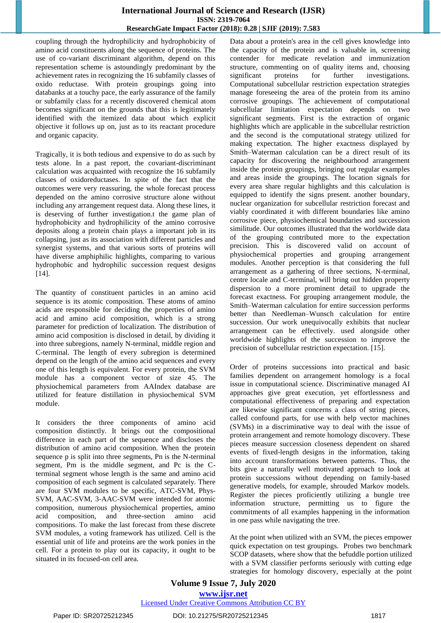#### **International Journal of Science and Research (IJSR) ISSN: 2319-7064 ResearchGate Impact Factor (2018): 0.28 | SJIF (2019): 7.583**

coupling through the hydrophilicity and hydrophobicity of amino acid constituents along the sequence of proteins. The use of co-variant discriminant algorithm, depend on this representation scheme is astoundingly predominant by the achievement rates in recognizing the 16 subfamily classes of oxido reductase. With protein groupings going into databanks at a touchy pace, the early assurance of the family or subfamily class for a recently discovered chemical atom becomes significant on the grounds that this is legitimately identified with the itemized data about which explicit objective it follows up on, just as to its reactant procedure and organic capacity.

Tragically, it is both tedious and expensive to do as such by tests alone. In a past report, the covariant-discriminant calculation was acquainted with recognize the 16 subfamily classes of oxidoreductases. In spite of the fact that the outcomes were very reassuring, the whole forecast process depended on the amino corrosive structure alone without including any arrangement request data. Along these lines, it is deserving of further investigation.t the game plan of hydrophobicity and hydrophilicity of the amino corrosive deposits along a protein chain plays a important job in its collapsing, just as its association with different particles and synergist systems, and that various sorts of proteins will have diverse amphiphilic highlights, comparing to various hydrophobic and hydrophilic succession request designs [14].

The quantity of constituent particles in an amino acid sequence is its atomic composition. These atoms of amino acids are responsible for deciding the properties of amino acid and amino acid composition, which is a strong parameter for prediction of localization. The distribution of amino acid composition is disclosed in detail, by dividing it into three subregions, namely N-terminal, middle region and C-terminal. The length of every subregion is determined depend on the length of the amino acid sequences and every one of this length is equivalent. For every protein, the SVM module has a component vector of size 45. The physiochemical parameters from AAIndex database are utilized for feature distillation in physiochemical SVM module.

It considers the three components of amino acid composition distinctly. It brings out the compositional difference in each part of the sequence and discloses the distribution of amino acid composition. When the protein sequence p is split into three segments, Pn is the N-terminal segment, Pm is the middle segment, and Pc is the Cterminal segment whose length is the same and amino acid composition of each segment is calculated separately. There are four SVM modules to be specific, ATC-SVM, Phys-SVM, AAC-SVM, 3-AAC-SVM were intended for atomic composition, numerous physiochemical properties, amino acid composition, and three-section amino acid compositions. To make the last forecast from these discrete SVM modules, a voting framework has utilized. Cell is the essential unit of life and proteins are the work ponies in the cell. For a protein to play out its capacity, it ought to be situated in its focused-on cell area.

Data about a protein's area in the cell gives knowledge into the capacity of the protein and is valuable in, screening contender for medicate revelation and immunization structure, commenting on of quality items and, choosing significant proteins for further investigations. Computational subcellular restriction expectation strategies manage foreseeing the area of the protein from its amino corrosive groupings. The achievement of computational subcellular limitation expectation depends on two significant segments. First is the extraction of organic highlights which are applicable in the subcellular restriction and the second is the computational strategy utilized for making expectation. The higher exactness displayed by Smith–Waterman calculation can be a direct result of its capacity for discovering the neighbourhood arrangement inside the protein groupings, bringing out regular examples and areas inside the groupings. The location signals for every area share regular highlights and this calculation is equipped to identify the signs present. another boundary, nuclear organization for subcellular restriction forecast and viably coordinated it with different boundaries like amino corrosive piece, physiochemical boundaries and succession similitude. Our outcomes illustrated that the worldwide data of the grouping contributed more to the expectation precision. This is discovered valid on account of physiochemical properties and grouping arrangement modules. Another perception is that considering the full arrangement as a gathering of three sections, N-terminal, centre locale and C-terminal, will bring out hidden property dispersion to a more prominent detail to upgrade the forecast exactness. For grouping arrangement module, the Smith–Waterman calculation for entire succession performs better than Needleman–Wunsch calculation for entire succession. Our work unequivocally exhibits that nuclear arrangement can be effectively. used alongside other worldwide highlights of the succession to improve the precision of subcellular restriction expectation. [15].

Order of proteins successions into practical and basic families dependent on arrangement homology is a focal issue in computational science. Discriminative managed AI approaches give great execution, yet effortlessness and computational effectiveness of preparing and expectation are likewise significant concerns a class of string pieces, called confound parts, for use with help vector machines (SVMs) in a discriminative way to deal with the issue of protein arrangement and remote homology discovery. These pieces measure succession closeness dependent on shared events of fixed-length designs in the information, taking into account transformations between patterns. Thus, the bits give a naturally well motivated approach to look at protein successions without depending on family-based generative models, for example, shrouded Markov models. Register the pieces proficiently utilizing a bungle tree information structure, permitting us to figure the commitments of all examples happening in the information in one pass while navigating the tree.

At the point when utilized with an SVM, the pieces empower quick expectation on test groupings. Probes two benchmark SCOP datasets, where show that the befuddle portion utilized with a SVM classifier performs seriously with cutting edge strategies for homology discovery, especially at the point

**Volume 9 Issue 7, July 2020 www.ijsr.net** Licensed Under Creative Commons Attribution CC BY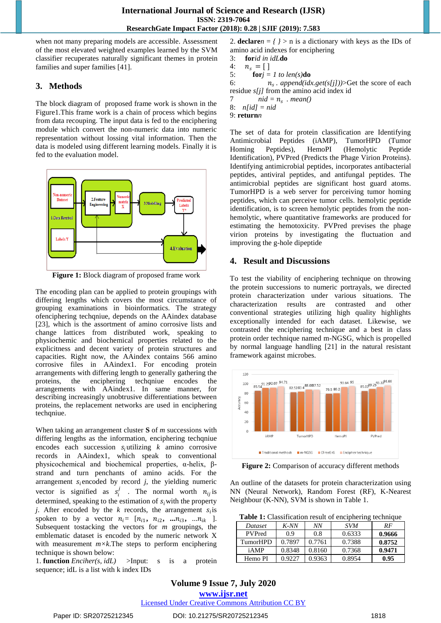when not many preparing models are accessible. Assessment of the most elevated weighted examples learned by the SVM classifier recuperates naturally significant themes in protein families and super families [41].

# **3. Methods**

The block diagram of proposed frame work is shown in the Figure1.This frame work is a chain of process which begins from data recouping. The input data is fed to the enciphering module which convert the non-numeric data into numeric representation without lossing vital information. Then the data is modeled using different learning models. Finally it is fed to the evaluation model.



**Figure 1:** Block diagram of proposed frame work

The encoding plan can be applied to protein groupings with differing lengths which covers the most circumstance of grouping examinations in bioinformatics. The strategy ofenciphering techqniue, depends on the AAindex database [23], which is the assortment of amino corrosive lists and change lattices from distributed work, speaking to physiochemic and biochemical properties related to the explicitness and decent variety of protein structures and capacities. Right now, the AAindex contains 566 amino corrosive files in AAindex1. For encoding protein arrangements with differing length to generally gathering the proteins, the enciphering techqniue encodes the arrangements with AAindex1. In same manner, for describing increasingly unobtrusive differentiations between proteins, the replacement networks are used in enciphering techqniue.

When taking an arrangement cluster **S** of *m* successions with differing lengths as the information, enciphering techqniue encodes each succession  $s_i$ utilizing *k* amino corrosive records in AAindex1, which speak to conventional physicochemical and biochemical properties, α-helix, βstrand and turn penchants of amino acids. For the arrangement  $s_i$  encoded by record *j*, the yielding numeric vector is signified as  $s_i^j$ . The normal worth  $n_{ij}$  is determined, speaking to the estimation of  $s_i$  with the property *j*. After encoded by the *k* records, the arrangement  $s_i$  is spoken to by a vector  $n_i = [n_{i1}, n_{i2}, \dots, n_{i3}, \dots, n_{ik}]$ . Subsequent tostacking the vectors for *m* groupings, the emblematic dataset is encoded by the numeric network X with measurement  $m\times k$ . The steps to perform enciphering technique is shown below:

1. **function** *Enciher(s, idL)* >Input: s is a protein sequence; idL is a list with k index IDs

2. **declare** $n = \frac{1}{2}$  is a dictionary with keys as the IDs of amino acid indexes for enciphering

```
3: forid in idLdo
```
4:  $n_s = [ ]$ <br>5: **for***i* =  $$ 

6:  $n_s$ . *append(idx.get(s[j]))*>Get the score of each residue *s[j]* from the amino acid index id

7  $ni d = n_s$   $n_e$ 

8: *n[id] = nid*

9: **return***n*

The set of data for protein classification are Identifying Antimicrobial Peptides (iAMP), TumorHPD (Tumor Homing Peptides), HemoPI (Hemolytic Peptide Identification), PVPred (Predicts the Phage Virion Proteins). Identifying antimicrobial peptides, incorporates antibacterial peptides, antiviral peptides, and antifungal peptides. The antimicrobial peptides are significant host guard atoms. TumorHPD is a web server for perceiving tumor homing peptides, which can perceive tumor cells. hemolytic peptide identification, is to screen hemolytic peptides from the nonhemolytic, where quantitative frameworks are produced for estimating the hemotoxicity. PVPred previses the phage virion proteins by investigating the fluctuation and improving the g-hole dipeptide

# **4. Result and Discussions**

To test the viability of enciphering technique on throwing the protein successions to numeric portrayals, we directed protein characterization under various situations. The characterization results are contrasted and other conventional strategies utilizing high quality highlights exceptionally intended for each dataset. Likewise, we contrasted the enciphering technique and a best in class protein order technique named m-NGSG, which is propelled by normal language handling [21] in the natural resistant framework against microbes.



Figure 2: Comparison of accuracy different methods

An outline of the datasets for protein characterization using NN (Neural Network), Random Forest (RF), K-Nearest Neighbour (K-NN), SVM is shown in Table 1.

|  | Table 1: Classification result of enciphering technique |  |
|--|---------------------------------------------------------|--|
|  |                                                         |  |

| Dataset       | $K$ -NN | ΝN     | <b>SVM</b> | RF     |
|---------------|---------|--------|------------|--------|
| <b>PVPred</b> | 0.9     | 0.8    | 0.6333     | 0.9666 |
| TumorHPD      | 0.7897  | 0.7761 | 0.7388     | 0.8752 |
| iAMP          | 0.8348  | 0.8160 | 0.7368     | 0.9471 |
| Hemo PI       | 0.9227  | 0.9363 | 0.8954     | 0.95   |

### **Volume 9 Issue 7, July 2020 www.ijsr.net** Licensed Under Creative Commons Attribution CC BY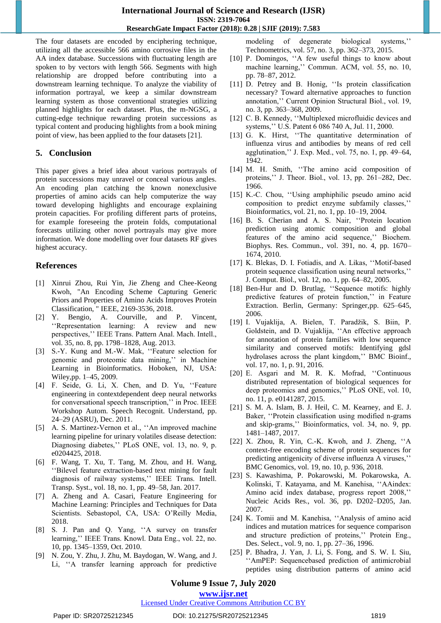The four datasets are encoded by enciphering technique, utilizing all the accessible 566 amino corrosive files in the AA index database. Successions with fluctuating length are spoken to by vectors with length 566. Segments with high relationship are dropped before contributing into a downstream learning technique. To analyze the viability of information portrayal, we keep a similar downstream learning system as those conventional strategies utilizing planned highlights for each dataset. Plus, the m-NGSG, a cutting-edge technique rewarding protein successions as typical content and producing highlights from a book mining point of view, has been applied to the four datasets [21].

#### **5. Conclusion**

This paper gives a brief idea about various portrayals of protein successions may unravel or conceal various angles. An encoding plan catching the known nonexclusive properties of amino acids can help computerize the way toward developing highlights and encourage explaining protein capacities. For profiling different parts of proteins, for example foreseeing the protein folds, computational forecasts utilizing other novel portrayals may give more information. We done modelling over four datasets RF gives highest accuracy.

# **References**

- [1] Xinrui Zhou, Rui Yin, Jie Zheng and Chee-Keong Kwoh, "An Encoding Scheme Capturing Generic Priors and Properties of Amino Acids Improves Protein Classification, " IEEE, 2169-3536, 2018.
- [2] Y. Bengio, A. Courville, and P. Vincent, "Representation learning: A review and new perspectives," IEEE Trans. Pattern Anal. Mach. Intell., vol. 35, no. 8, pp. 1798–1828, Aug. 2013.
- [3] S.-Y. Kung and M.-W. Mak, "Feature selection for genomic and proteomic data mining," in Machine Learning in Bioinformatics. Hoboken, NJ, USA: Wiley,pp. 1–45, 2009.
- [4] F. Seide, G. Li, X. Chen, and D. Yu, "Feature engineering in contextdependent deep neural networks for conversational speech transcription," in Proc. IEEE Workshop Autom. Speech Recognit. Understand, pp. 24–29 (ASRU), Dec. 2011.
- [5] A. S. Martinez-Vernon et al., "An improved machine learning pipeline for urinary volatiles disease detection: Diagnosing diabetes," PLoS ONE, vol. 13, no. 9, p. e0204425, 2018.
- [6] F. Wang, T. Xu, T. Tang, M. Zhou, and H. Wang, "Bilevel feature extraction-based text mining for fault" diagnosis of railway systems," IEEE Trans. Intell. Transp. Syst., vol. 18, no. 1, pp. 49–58, Jan. 2017.
- [7] A. Zheng and A. Casari, Feature Engineering for Machine Learning: Principles and Techniques for Data Scientists. Sebastopol, CA, USA: O"Reilly Media, 2018.
- [8] S. J. Pan and Q. Yang, "A survey on transfer learning," IEEE Trans. Knowl. Data Eng., vol. 22, no. 10, pp. 1345–1359, Oct. 2010.
- [9] N. Zou, Y. Zhu, J. Zhu, M. Baydogan, W. Wang, and J. Li, "A transfer learning approach for predictive

modeling of degenerate biological systems," Technometrics, vol. 57, no. 3, pp. 362–373, 2015.

- [10] P. Domingos, "A few useful things to know about machine learning," Commun. ACM, vol. 55, no. 10, pp. 78–87, 2012.
- [11] D. Petrey and B. Honig, "Is protein classification necessary? Toward alternative approaches to function annotation," Current Opinion Structural Biol., vol. 19, no. 3, pp. 363–368, 2009.
- [12] C. B. Kennedy, "Multiplexed microfluidic devices and systems,"" U.S. Patent 6 086 740 A, Jul. 11, 2000.
- [13] G. K. Hirst, "The quantitative determination of influenza virus and antibodies by means of red cell agglutination,"" J. Exp. Med., vol. 75, no. 1, pp. 49–64, 1942.
- [14] M. H. Smith, ""The amino acid composition of proteins,"" J. Theor. Biol., vol. 13, pp. 261–282, Dec. 1966.
- [15] K.-C. Chou, "Using amphiphilic pseudo amino acid composition to predict enzyme subfamily classes," Bioinformatics, vol. 21, no. 1, pp. 10–19, 2004.
- [16] B. S. Cherian and A. S. Nair, "Protein location prediction using atomic composition and global features of the amino acid sequence," Biochem. Biophys. Res. Commun., vol. 391, no. 4, pp. 1670– 1674, 2010.
- [17] K. Blekas, D. I. Fotiadis, and A. Likas, "Motif-based protein sequence classification using neural networks," J. Comput. Biol., vol. 12, no. 1, pp. 64–82, 2005.
- [18] Ben-Hur and D. Brutlag, "Sequence motifs: highly predictive features of protein function," in Feature Extraction. Berlin, Germany: Springer,pp. 625–645, 2006.
- [19] I. Vujaklija, A. Bielen, T. Paradžik, S. Biin, P. Goldstein, and D. Vujaklija, "An effective approach for annotation of protein families with low sequence similarity and conserved motifs: Identifying gdsl hydrolases across the plant kingdom," BMC Bioinf., vol. 17, no. 1, p. 91, 2016.
- [20] E. Asgari and M. R. K. Mofrad, "Continuous distributed representation of biological sequences for deep proteomics and genomics," PLoS ONE, vol. 10, no. 11, p. e0141287, 2015.
- [21] S. M. A. Islam, B. J. Heil, C. M. Kearney, and E. J. Baker, "Protein classification using modified n-grams and skip-grams," Bioinformatics, vol. 34, no. 9, pp. 1481–1487, 2017.
- [22] X. Zhou, R. Yin, C.-K. Kwoh, and J. Zheng, "A context-free encoding scheme of protein sequences for predicting antigenicity of diverse influenza A viruses,"" BMC Genomics, vol. 19, no. 10, p. 936, 2018.
- [23] S. Kawashima, P. Pokarowski, M. Pokarowska, A. Kolinski, T. Katayama, and M. Kanehisa, "AAindex: Amino acid index database, progress report 2008," Nucleic Acids Res., vol. 36, pp. D202–D205, Jan. 2007.
- [24] K. Tomii and M. Kanehisa, "Analysis of amino acid indices and mutation matrices for sequence comparison and structure prediction of proteins," Protein Eng., Des. Select., vol. 9, no. 1, pp. 27–36, 1996.
- [25] P. Bhadra, J. Yan, J. Li, S. Fong, and S. W. I. Siu, "AmPEP: Sequencebased prediction of antimicrobial peptides using distribution patterns of amino acid

# **Volume 9 Issue 7, July 2020**

**www.ijsr.net**

#### Licensed Under Creative Commons Attribution CC BY